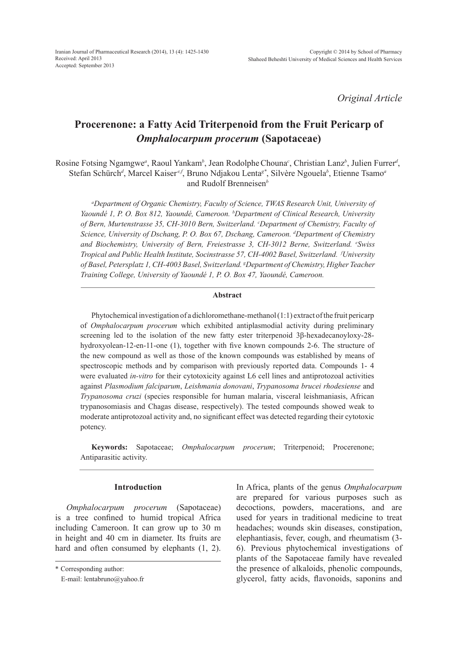*Original Article*

# **Procerenone: a Fatty Acid Triterpenoid from the Fruit Pericarp of**  *Omphalocarpum procerum* **(Sapotaceae)**

Rosine Fotsing Ngamgwe<sup>a</sup>, Raoul Yankam<sup>b</sup>, Jean Rodolphe Chouna<sup>c</sup>, Christian Lanz<sup>b</sup>, Julien Furrer<sup>d</sup>, Stefan Schürch*<sup>d</sup>* , Marcel Kaiser *e,f*, Bruno Ndjakou Lenta*g\**, Silvère Ngouela*<sup>b</sup>* , Etienne Tsamo*<sup>a</sup>* and Rudolf Brenneisen*<sup>b</sup>*

*a Department of Organic Chemistry, Faculty of Science, TWAS Research Unit, University of Yaoundé 1, P. O. Box 812, Yaoundé, Cameroon. b Department of Clinical Research, University of Bern, Murtenstrasse 35, CH-3010 Bern, Switzerland. c Department of Chemistry, Faculty of Science, University of Dschang, P. O. Box 67, Dschang, Cameroon. d Department of Chemistry and Biochemistry, University of Bern, Freiestrasse 3, CH-3012 Berne, Switzerland. e Swiss Tropical and Public Health Institute, Socinstrasse 57, CH-4002 Basel, Switzerland. f University of Basel, Petersplatz 1, CH-4003 Basel, Switzerland. g Department of Chemistry, Higher Teacher Training College, University of Yaoundé 1, P. O. Box 47, Yaoundé, Cameroon.*

#### **Abstract**

Phytochemical investigation of a dichloromethane-methanol (1:1) extract of the fruit pericarp of *Omphalocarpum procerum* which exhibited antiplasmodial activity during preliminary screening led to the isolation of the new fatty ester triterpenoid 3β-hexadecanoyloxy-28 hydroxyolean-12-en-11-one (1), together with five known compounds 2-6. The structure of the new compound as well as those of the known compounds was established by means of spectroscopic methods and by comparison with previously reported data. Compounds 1- 4 were evaluated *in-vitro* for their cytotoxicity against L6 cell lines and antiprotozoal activities against *Plasmodium falciparum*, *Leishmania donovani*, *Trypanosoma brucei rhodesiense* and *Trypanosoma cruzi* (species responsible for human malaria, visceral leishmaniasis, African trypanosomiasis and Chagas disease, respectively). The tested compounds showed weak to moderate antiprotozoal activity and, no significant effect was detected regarding their cytotoxic potency.

**Keywords:** Sapotaceae; *Omphalocarpum procerum*; Triterpenoid; Procerenone; Antiparasitic activity.

## **Introduction**

*Omphalocarpum procerum* (Sapotaceae) is a tree confined to humid tropical Africa including Cameroon. It can grow up to 30 m in height and 40 cm in diameter. Its fruits are hard and often consumed by elephants  $(1, 2)$ .

\* Corresponding author:

In Africa, plants of the genus *Omphalocarpum*  are prepared for various purposes such as decoctions, powders, macerations, and are used for years in traditional medicine to treat headaches; wounds skin diseases, constipation, elephantiasis, fever, cough, and rheumatism (3- 6). Previous phytochemical investigations of plants of the Sapotaceae family have revealed the presence of alkaloids, phenolic compounds, glycerol, fatty acids, flavonoids, saponins and

E-mail: lentabruno@yahoo.fr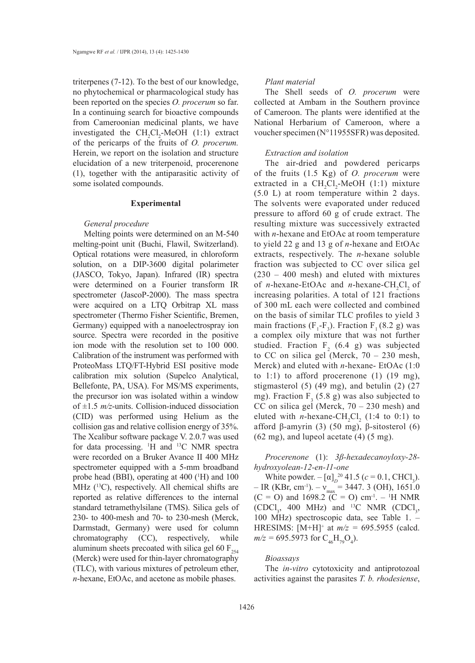triterpenes (7-12). To the best of our knowledge, no phytochemical or pharmacological study has been reported on the species *O. procerum* so far. In a continuing search for bioactive compounds from Cameroonian medicinal plants, we have investigated the  $CH_2Cl_2$ -MeOH (1:1) extract of the pericarps of the fruits of *O. procerum.*  Herein, we report on the isolation and structure elucidation of a new triterpenoid, procerenone (1), together with the antiparasitic activity of some isolated compounds.

#### **Experimental**

#### *General procedure*

Melting points were determined on an M-540 melting-point unit (Buchi, Flawil, Switzerland). Optical rotations were measured, in chloroform solution, on a DIP-3600 digital polarimeter (JASCO, Tokyo, Japan). Infrared (IR) spectra were determined on a Fourier transform IR spectrometer (JascoP-2000). The mass spectra were acquired on a LTQ Orbitrap XL mass spectrometer (Thermo Fisher Scientific, Bremen, Germany) equipped with a nanoelectrospray ion source. Spectra were recorded in the positive ion mode with the resolution set to 100 000. Calibration of the instrument was performed with ProteoMass LTQ/FT-Hybrid ESI positive mode calibration mix solution (Supelco Analytical, Bellefonte, PA, USA). For MS/MS experiments, the precursor ion was isolated within a window of  $\pm 1.5$  *m/z*-units. Collision-induced dissociation (CID) was performed using Helium as the collision gas and relative collision energy of 35%. The Xcalibur software package V. 2.0.7 was used for data processing. <sup>1</sup> H and 13C NMR spectra were recorded on a Bruker Avance II 400 MHz spectrometer equipped with a 5-mm broadband probe head (BBI), operating at 400 (<sup>1</sup>H) and 100 MHz  $(^{13}C)$ , respectively. All chemical shifts are reported as relative differences to the internal standard tetramethylsilane (TMS). Silica gels of 230- to 400-mesh and 70- to 230-mesh (Merck, Darmstadt, Germany) were used for column chromatography (CC), respectively, while aluminum sheets precoated with silica gel 60  $F_{254}$ (Merck) were used for thin-layer chromatography (TLC), with various mixtures of petroleum ether, *n*-hexane, EtOAc, and acetone as mobile phases.

#### *Plant material*

The Shell seeds of *O. procerum* were collected at Ambam in the Southern province of Cameroon. The plants were identified at the National Herbarium of Cameroon, where a voucher specimen (N°11955SFR) was deposited.

## *Extraction and isolation*

The air-dried and powdered pericarps of the fruits (1.5 Kg) of *O. procerum* were extracted in a  $CH_2Cl_2$ -MeOH (1:1) mixture (5.0 L) at room temperature within 2 days. The solvents were evaporated under reduced pressure to afford 60 g of crude extract. The resulting mixture was successively extracted with *n*-hexane and EtOAc at room temperature to yield 22 g and 13 g of *n*-hexane and EtOAc extracts, respectively. The *n*-hexane soluble fraction was subjected to CC over silica gel (230 – 400 mesh) and eluted with mixtures of *n*-hexane-EtOAc and *n*-hexane-CH<sub>2</sub>Cl<sub>2</sub> of increasing polarities. A total of 121 fractions of 300 mL each were collected and combined on the basis of similar TLC profiles to yield 3 main fractions  $(F_1-F_3)$ . Fraction  $F_1(8.2 \text{ g})$  was a complex oily mixture that was not further studied. Fraction  $F_2$  (6.4 g) was subjected to CC on silica gel (Merck, 70 – 230 mesh, Merck) and eluted with *n*-hexane- EtOAc (1:0 to 1:1) to afford procerenone  $(1)$   $(19 \text{ mg})$ , stigmasterol  $(5)$   $(49 \text{ mg})$ , and betulin  $(2)$   $(27)$ mg). Fraction  $F_3$  (5.8 g) was also subjected to CC on silica gel (Merck, 70 – 230 mesh) and eluted with *n*-hexane-CH<sub>2</sub>Cl<sub>2</sub> (1:4 to 0:1) to afford β-amyrin (3) (50 mg), β-sitosterol (6)  $(62 \text{ mg})$ , and lupeol acetate  $(4)$   $(5 \text{ mg})$ .

*Procerenone* (1): *3β-hexadecanoyloxy-28 hydroxyolean-12-en-11-one*

White powder.  $-[\alpha]_D^{20}$  41.5 ( $c = 0.1$ , CHCl<sub>3</sub>).  $-$  IR (KBr, cm<sup>-1</sup>).  $-v_{max}$  = 3447. 3 (OH), 1651.0  $(C = O)$  and 1698.2  $(C = O)$  cm<sup>-1</sup>. – <sup>1</sup>H NMR  $(CDCl<sub>3</sub>, 400 MHz)$  and <sup>13</sup>C NMR  $(CDCl<sub>3</sub>,$ 100 MHz) spectroscopic data, see Table 1. – HRESIMS:  $[M+H]^+$  at  $m/z = 695.5955$  (calcd.  $m/z = 695.5973$  for  $C_{46}H_{79}O_4$ ).

## *Bioassays*

The *in-vitro* cytotoxicity and antiprotozoal activities against the parasites *T. b. rhodesiense*,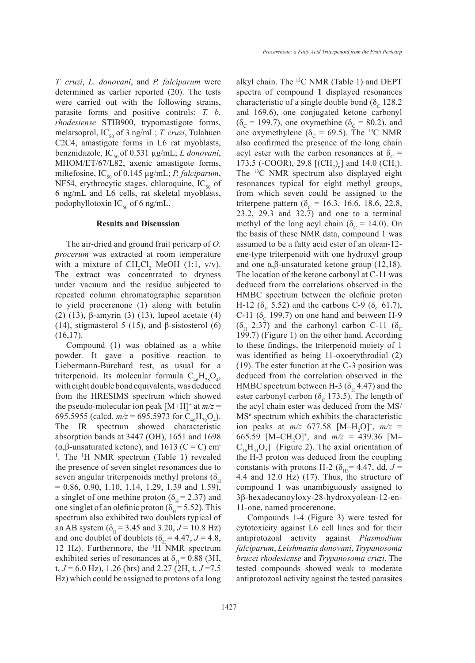*T. cruzi*, *L. donovani*, and *P. falciparum* were determined as earlier reported (20). The tests were carried out with the following strains, parasite forms and positive controls: *T. b. rhodesiense* STIB900, trypomastigote forms, melarsoprol,  $IC_{50}$  of 3 ng/mL; *T. cruzi*, Tulahuen C2C4, amastigote forms in L6 rat myoblasts, benznidazole,  $IC_{50}$  of 0.531  $\mu$ g/mL; *L donovani*, MHOM/ET/67/L82, axenic amastigote forms, miltefosine,  $IC_{50}$  of 0.145  $\mu$ g/mL; *P. falciparum*, NF54, erythrocytic stages, chloroquine,  $IC_{50}$  of 6 ng/mL and L6 cells, rat skeletal myoblasts, podophyllotoxin IC<sub>50</sub> of 6 ng/mL.

#### **Results and Discussion**

The air-dried and ground fruit pericarp of *O. procerum* was extracted at room temperature with a mixture of  $CH_2Cl_2$ -MeOH (1:1, v/v). The extract was concentrated to dryness under vacuum and the residue subjected to repeated column chromatographic separation to yield procerenone (1) along with betulin (2) (13), β-amyrin (3) (13), lupeol acetate (4) (14), stigmasterol 5 (15), and  $\beta$ -sistosterol (6)  $(16,17)$ .

Compound (1) was obtained as a white powder. It gave a positive reaction to Liebermann-Burchard test, as usual for a triterpenoid. Its molecular formula  $C_{46}H_{78}O_4$ , with eight double bond equivalents, was deduced from the HRESIMS spectrum which showed the pseudo-molecular ion peak  $[M+H]^+$  at  $m/z =$ 695.5955 (calcd.  $m/z = 695.5973$  for C<sub>46</sub>H<sub>79</sub>O<sub>4</sub>). The IR spectrum showed characteristic absorption bands at 3447 (OH), 1651 and 1698 ( $\alpha$ ,β-unsaturated ketone), and 1613 (C = C) cm<sup>-</sup> <sup>1</sup>. The <sup>1</sup>H NMR spectrum (Table 1) revealed the presence of seven singlet resonances due to seven angular triterpenoids methyl protons ( $\delta$ <sub>H</sub>  $= 0.86, 0.90, 1.10, 1.14, 1.29, 1.39$  and 1.59), a singlet of one methine proton ( $\delta_{\text{H}}$  = 2.37) and one singlet of an olefinic proton ( $\delta_{\text{H}}$  = 5.52). This spectrum also exhibited two doublets typical of an AB system ( $\delta_{\text{H}}$  = 3.45 and 3.20, *J* = 10.8 Hz) and one doublet of doublets ( $\delta$ <sub>H</sub> = 4.47, *J* = 4.8, 12 Hz). Furthermore, the <sup>1</sup> H NMR spectrum exhibited series of resonances at  $\delta_{\text{H}}$  = 0.88 (3H, t,  $J = 6.0$  Hz), 1.26 (brs) and 2.27 (2H, t,  $J = 7.5$ Hz) which could be assigned to protons of a long

alkyl chain. The 13C NMR (Table 1) and DEPT spectra of compound **1** displayed resonances characteristic of a single double bond  $(\delta_c 128.2$ and 169.6), one conjugated ketone carbonyl  $(\delta_c = 199.7)$ , one oxymethine  $(\delta_c = 80.2)$ , and one oxymethylene ( $\delta_c$  = 69.5). The <sup>13</sup>C NMR also confirmed the presence of the long chain acyl ester with the carbon resonances at  $\delta_c$  = 173.5 (-COOR), 29.8  $[(CH<sub>2</sub>)<sub>n</sub>]$  and 14.0 (CH<sub>3</sub>). The 13C NMR spectrum also displayed eight resonances typical for eight methyl groups, from which seven could be assigned to the triterpene pattern ( $\delta_c$  = 16.3, 16.6, 18.6, 22.8, 23.2, 29.3 and 32.7) and one to a terminal methyl of the long acyl chain ( $\delta_c = 14.0$ ). On the basis of these NMR data, compound 1 was assumed to be a fatty acid ester of an olean-12 ene-type triterpenoid with one hydroxyl group and one α,β-unsaturated ketone group  $(12,18)$ . The location of the ketone carbonyl at C-11 was deduced from the correlations observed in the HMBC spectrum between the olefinic proton H-12 (δ<sub>H</sub> 5.52) and the carbons C-9 (δ<sub>C</sub> 61.7), C-11 ( $\delta_c$  199.7) on one hand and between H-9  $(\delta_{\text{H}}$  2.37) and the carbonyl carbon C-11 ( $\delta_{\text{C}}$ 199.7) (Figure 1) on the other hand. According to these findings, the triterpenoid moiety of 1 was identified as being 11-oxoerythrodiol (2) (19). The ester function at the C-3 position was deduced from the correlation observed in the HMBC spectrum between H-3 ( $\delta_{\rm H}$  4.47) and the ester carbonyl carbon ( $\delta_c$  173.5). The length of the acyl chain ester was deduced from the MS/  $MS<sup>n</sup>$  spectrum which exhibits the characteristic ion peaks at  $m/z$  677.58 [M-H<sub>2</sub>O]<sup>+</sup>,  $m/z$  = 665.59 [M–CH<sub>2</sub>O]<sup>+</sup>, and  $m/z = 439.36$  [M–  $C_{16}H_{31}O_2$ <sup>+</sup> (Figure 2). The axial orientation of the H-3 proton was deduced from the coupling constants with protons H-2 ( $\delta_{\text{H3}}$ = 4.47, dd, J = 4.4 and 12.0 Hz) (17). Thus, the structure of compound 1 was unambiguously assigned to 3β-hexadecanoyloxy-28-hydroxyolean-12-en-11-one, named procerenone.

Compounds 1-4 (Figure 3) were tested for cytotoxicity against L6 cell lines and for their antiprotozoal activity against *Plasmodium falciparum*, *Leishmania donovani*, *Trypanosoma brucei rhodesiense* and *Trypanosoma cruzi*. The tested compounds showed weak to moderate antiprotozoal activity against the tested parasites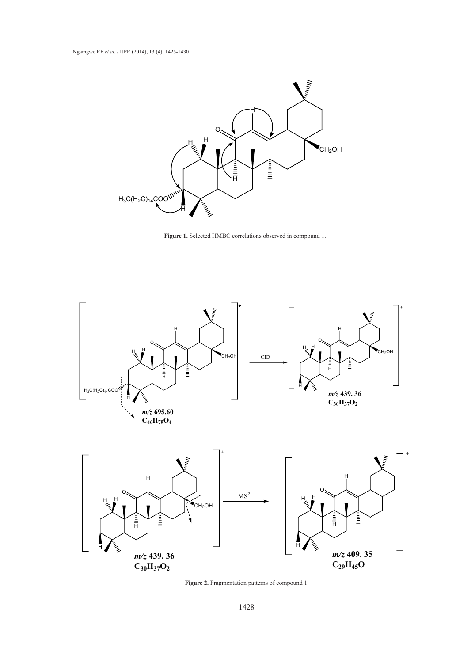





**Figure 2.** Fragmentation patterns of compound 1.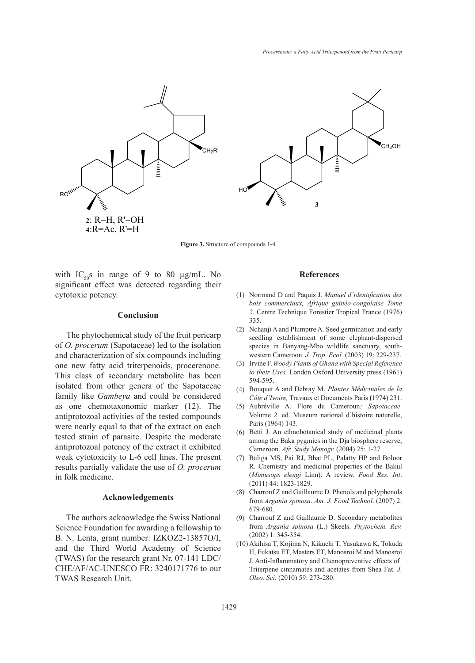

**Figure 3.** Structure of compounds 1**-**4.

with  $IC_{50}$ s in range of 9 to 80 µg/mL. No significant effect was detected regarding their cytotoxic potency.

## **Conclusion**

The phytochemical study of the fruit pericarp of *O. procerum* (Sapotaceae) led to the isolation and characterization of six compounds including one new fatty acid triterpenoids, procerenone. This class of secondary metabolite has been isolated from other genera of the Sapotaceae family like *Gambeya* and could be considered as one chemotaxonomic marker (12). The antiprotozoal activities of the tested compounds were nearly equal to that of the extract on each tested strain of parasite. Despite the moderate antiprotozoal potency of the extract it exhibited weak cytotoxicity to L-6 cell lines. The present results partially validate the use of *O. procerum* in folk medicine.

## **Acknowledgements**

The authors acknowledge the Swiss National Science Foundation for awarding a fellowship to B. N. Lenta, grant number: IZKOZ2-13857O/I, and the Third World Academy of Science (TWAS) for the research grant Nr. 07-141 LDC/ CHE/AF/AC-UNESCO FR: 3240171776 to our TWAS Research Unit.

## **References**

- Normand D and Paquis J. *Manuel d'identification des*  (1) *bois commerciaux, Afrique guinéo-congolaise Tome 2*. Centre Technique Forestier Tropical France (1976) 335.
- (2) Nchanji A and Plumptre A. Seed germination and early seedling establishment of some elephant-dispersed species in Banyang-Mbo wildlife sanctuary, southwestern Cameroon. *J. Trop. Ecol.* (2003) 19: 229-237.
- Irvine F. *Woody Plants of Ghana with Special Reference*  (3) *to their Uses.* London Oxford University press (1961) 594-595.
- Bouquet A and Debray M. *Plantes Médicinales de la*  (4) *Côte d'Ivoire,* Travaux et Documents Paris **(**1974) 231.
- Aubréville A. Flore du Cameroun*: Sapotaceae,*  Volume 2. ed. Museum national d'histoire naturelle, Paris (1964) 143. (5)
- (6) Betti J. An ethnobotanical study of medicinal plants among the Baka pygmies in the Dja biosphere reserve, Cameroon. *Afr. Study Monogr.* (2004) 25: 1-27.
- Baliga MS, Pai RJ, Bhat PL, Palatty HP and Boloor (7) R. Chemistry and medicinal properties of the Bakul (*Mimusops elengi* Linn): A review. *Food Res. Int*. (2011) 44: 1823-1829.
- Charrouf Z and Guillaume D. Phenols and polyphenols (8) from *Argania spinosa*. *Am. J. Food Technol*. (2007) 2: 679-680.
- Charrouf Z and Guillaume D. Secondary metabolites (9) from *Argania spinosa* (L.) Skeels. *Phytochem. Rev.*  (2002) 1: 345-354.
- (10) Akihisa T, Kojima N, Kikuchi T, Yasukawa K, Tokuda H, Fukatsu ET, Masters ET, Manosroi M and Manosroi J. Anti-Inflammatory and Chemopreventive effects of Triterpene cinnamates and acetates from Shea Fat. *J. Oleo. Sci.* (2010) 59: 273-280.